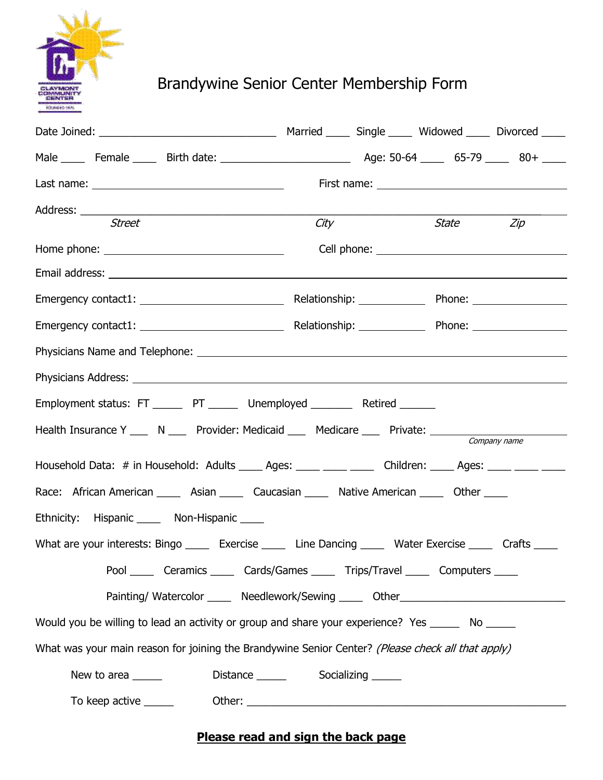

## Brandywine Senior Center Membership Form

| Address: __________<br><u> 2000 - Jan Barnett, mars et al. (b. 1980).</u>                                    |      |  |           |              |
|--------------------------------------------------------------------------------------------------------------|------|--|-----------|--------------|
| <b>Street</b>                                                                                                | City |  | State Zip |              |
| Home phone: $\sqrt{2\pi i}$                                                                                  |      |  |           |              |
|                                                                                                              |      |  |           |              |
|                                                                                                              |      |  |           |              |
|                                                                                                              |      |  |           |              |
|                                                                                                              |      |  |           |              |
|                                                                                                              |      |  |           |              |
| Employment status: FT _______ PT _______ Unemployed _________ Retired _______                                |      |  |           |              |
| Health Insurance Y ___ N ___ Provider: Medicaid ___ Medicare ___ Private: _____________                      |      |  |           | Company name |
| Household Data: # in Household: Adults _____ Ages: _____ _____ Children: ____ Ages: ____ ____ ____           |      |  |           |              |
| Race: African American _____ Asian _____ Caucasian _____ Native American _____ Other _____                   |      |  |           |              |
| Ethnicity: Hispanic _____ Non-Hispanic _____                                                                 |      |  |           |              |
| What are your interests: Bingo ______ Exercise ______ Line Dancing ______ Water Exercise ______ Crafts _____ |      |  |           |              |
| Pool _______ Ceramics _______ Cards/Games _______ Trips/Travel ______ Computers _____                        |      |  |           |              |
| Painting/Watercolor ______ Needlework/Sewing _____ Other________________________                             |      |  |           |              |
| Would you be willing to lead an activity or group and share your experience? Yes _______ No ______           |      |  |           |              |
| What was your main reason for joining the Brandywine Senior Center? (Please check all that apply)            |      |  |           |              |
| New to area                                                                                                  |      |  |           |              |
|                                                                                                              |      |  |           |              |

## **Please read and sign the back page**